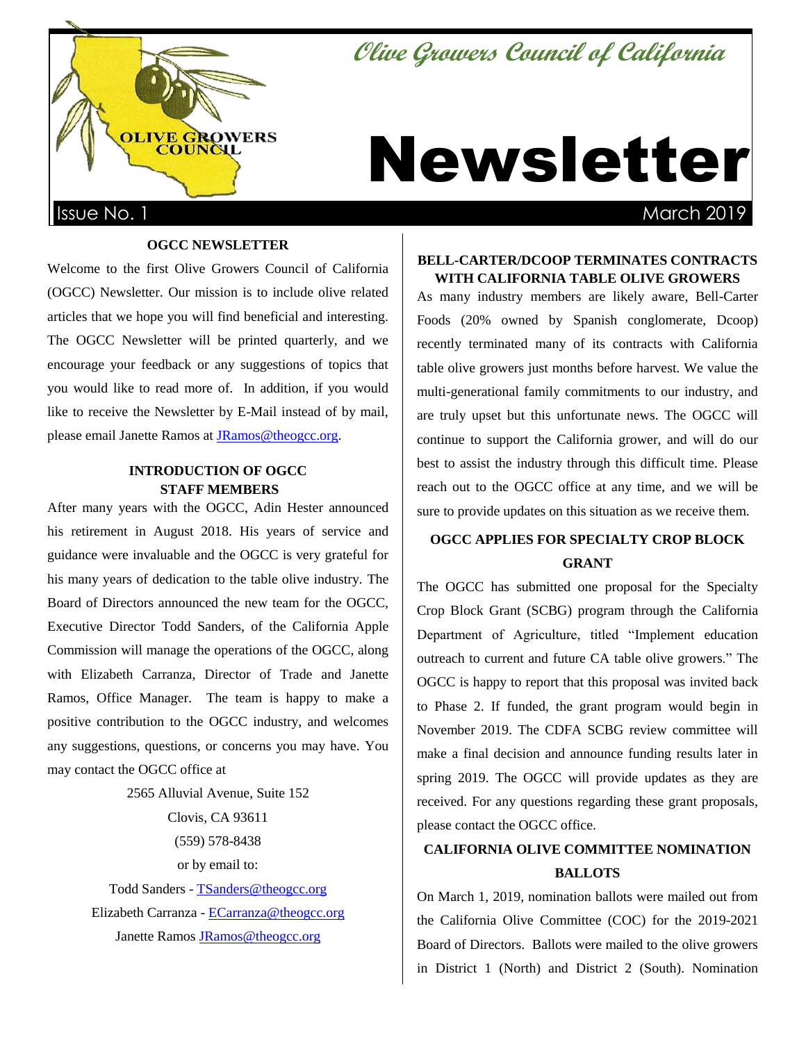# **Olive Growers Council of California**



# Newsletter

## **OGCC NEWSLETTER**

Welcome to the first Olive Growers Council of California (OGCC) Newsletter. Our mission is to include olive related articles that we hope you will find beneficial and interesting. The OGCC Newsletter will be printed quarterly, and we encourage your feedback or any suggestions of topics that you would like to read more of. In addition, if you would like to receive the Newsletter by E-Mail instead of by mail, please email Janette Ramos a[t JRamos@theogcc.org.](mailto:JRamos@theogcc.org)

# **INTRODUCTION OF OGCC STAFF MEMBERS**

After many years with the OGCC, Adin Hester announced his retirement in August 2018. His years of service and guidance were invaluable and the OGCC is very grateful for his many years of dedication to the table olive industry. The Board of Directors announced the new team for the OGCC, Executive Director Todd Sanders, of the California Apple Commission will manage the operations of the OGCC, along with Elizabeth Carranza, Director of Trade and Janette Ramos, Office Manager. The team is happy to make a positive contribution to the OGCC industry, and welcomes any suggestions, questions, or concerns you may have. You may contact the OGCC office at

> 2565 Alluvial Avenue, Suite 152 Clovis, CA 93611 (559) 578-8438 or by email to: Todd Sanders - [TSanders@theogcc.org](mailto:TSanders@theogcc.org) Elizabeth Carranza - [ECarranza@theogcc.org](mailto:ECarranza@theogcc.org) Janette Ramos [JRamos@theogcc.org](mailto:JRamos@theogcc.org)

# **BELL-CARTER/DCOOP TERMINATES CONTRACTS WITH CALIFORNIA TABLE OLIVE GROWERS**

As many industry members are likely aware, Bell-Carter Foods (20% owned by Spanish conglomerate, Dcoop) recently terminated many of its contracts with California table olive growers just months before harvest. We value the multi-generational family commitments to our industry, and are truly upset but this unfortunate news. The OGCC will continue to support the California grower, and will do our best to assist the industry through this difficult time. Please reach out to the OGCC office at any time, and we will be sure to provide updates on this situation as we receive them.

# **OGCC APPLIES FOR SPECIALTY CROP BLOCK GRANT**

The OGCC has submitted one proposal for the Specialty Crop Block Grant (SCBG) program through the California Department of Agriculture, titled "Implement education outreach to current and future CA table olive growers." The OGCC is happy to report that this proposal was invited back to Phase 2. If funded, the grant program would begin in November 2019. The CDFA SCBG review committee will make a final decision and announce funding results later in spring 2019. The OGCC will provide updates as they are received. For any questions regarding these grant proposals, please contact the OGCC office.

# **CALIFORNIA OLIVE COMMITTEE NOMINATION BALLOTS**

On March 1, 2019, nomination ballots were mailed out from the California Olive Committee (COC) for the 2019-2021 Board of Directors. Ballots were mailed to the olive growers in District 1 (North) and District 2 (South). Nomination